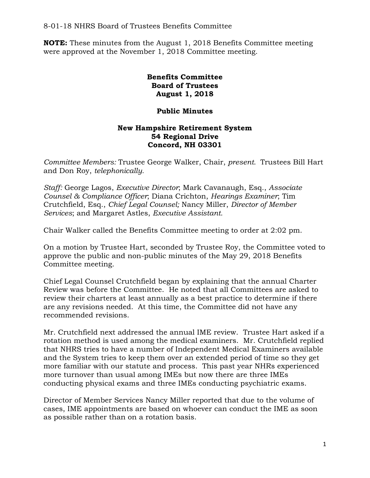## 8-01-18 NHRS Board of Trustees Benefits Committee

**NOTE:** These minutes from the August 1, 2018 Benefits Committee meeting were approved at the November 1, 2018 Committee meeting.

## **Benefits Committee Board of Trustees August 1, 2018**

## **Public Minutes**

## **New Hampshire Retirement System 54 Regional Drive Concord, NH 03301**

*Committee Members:* Trustee George Walker, Chair, *present.* Trustees Bill Hart and Don Roy, *telephonically.* 

*Staff:* George Lagos, *Executive Director*; Mark Cavanaugh, Esq., *Associate Counsel & Compliance Officer*; Diana Crichton, *Hearings Examiner*; Tim Crutchfield, Esq., *Chief Legal Counsel;* Nancy Miller, *Director of Member Services*; and Margaret Astles, *Executive Assistant.* 

Chair Walker called the Benefits Committee meeting to order at 2:02 pm.

On a motion by Trustee Hart, seconded by Trustee Roy, the Committee voted to approve the public and non-public minutes of the May 29, 2018 Benefits Committee meeting.

Chief Legal Counsel Crutchfield began by explaining that the annual Charter Review was before the Committee. He noted that all Committees are asked to review their charters at least annually as a best practice to determine if there are any revisions needed. At this time, the Committee did not have any recommended revisions.

Mr. Crutchfield next addressed the annual IME review. Trustee Hart asked if a rotation method is used among the medical examiners. Mr. Crutchfield replied that NHRS tries to have a number of Independent Medical Examiners available and the System tries to keep them over an extended period of time so they get more familiar with our statute and process. This past year NHRs experienced more turnover than usual among IMEs but now there are three IMEs conducting physical exams and three IMEs conducting psychiatric exams.

Director of Member Services Nancy Miller reported that due to the volume of cases, IME appointments are based on whoever can conduct the IME as soon as possible rather than on a rotation basis.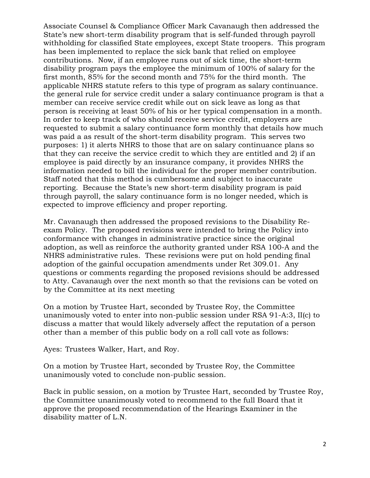Associate Counsel & Compliance Officer Mark Cavanaugh then addressed the State's new short-term disability program that is self-funded through payroll withholding for classified State employees, except State troopers. This program has been implemented to replace the sick bank that relied on employee contributions. Now, if an employee runs out of sick time, the short-term disability program pays the employee the minimum of 100% of salary for the first month, 85% for the second month and 75% for the third month. The applicable NHRS statute refers to this type of program as salary continuance. the general rule for service credit under a salary continuance program is that a member can receive service credit while out on sick leave as long as that person is receiving at least 50% of his or her typical compensation in a month. In order to keep track of who should receive service credit, employers are requested to submit a salary continuance form monthly that details how much was paid a as result of the short-term disability program. This serves two purposes: 1) it alerts NHRS to those that are on salary continuance plans so that they can receive the service credit to which they are entitled and 2) if an employee is paid directly by an insurance company, it provides NHRS the information needed to bill the individual for the proper member contribution. Staff noted that this method is cumbersome and subject to inaccurate reporting. Because the State's new short-term disability program is paid through payroll, the salary continuance form is no longer needed, which is expected to improve efficiency and proper reporting.

Mr. Cavanaugh then addressed the proposed revisions to the Disability Reexam Policy. The proposed revisions were intended to bring the Policy into conformance with changes in administrative practice since the original adoption, as well as reinforce the authority granted under RSA 100-A and the NHRS administrative rules. These revisions were put on hold pending final adoption of the gainful occupation amendments under Ret 309.01. Any questions or comments regarding the proposed revisions should be addressed to Atty. Cavanaugh over the next month so that the revisions can be voted on by the Committee at its next meeting

On a motion by Trustee Hart, seconded by Trustee Roy, the Committee unanimously voted to enter into non-public session under RSA 91-A:3, II(c) to discuss a matter that would likely adversely affect the reputation of a person other than a member of this public body on a roll call vote as follows:

Ayes: Trustees Walker, Hart, and Roy.

On a motion by Trustee Hart, seconded by Trustee Roy, the Committee unanimously voted to conclude non-public session.

Back in public session, on a motion by Trustee Hart, seconded by Trustee Roy, the Committee unanimously voted to recommend to the full Board that it approve the proposed recommendation of the Hearings Examiner in the disability matter of L.N.